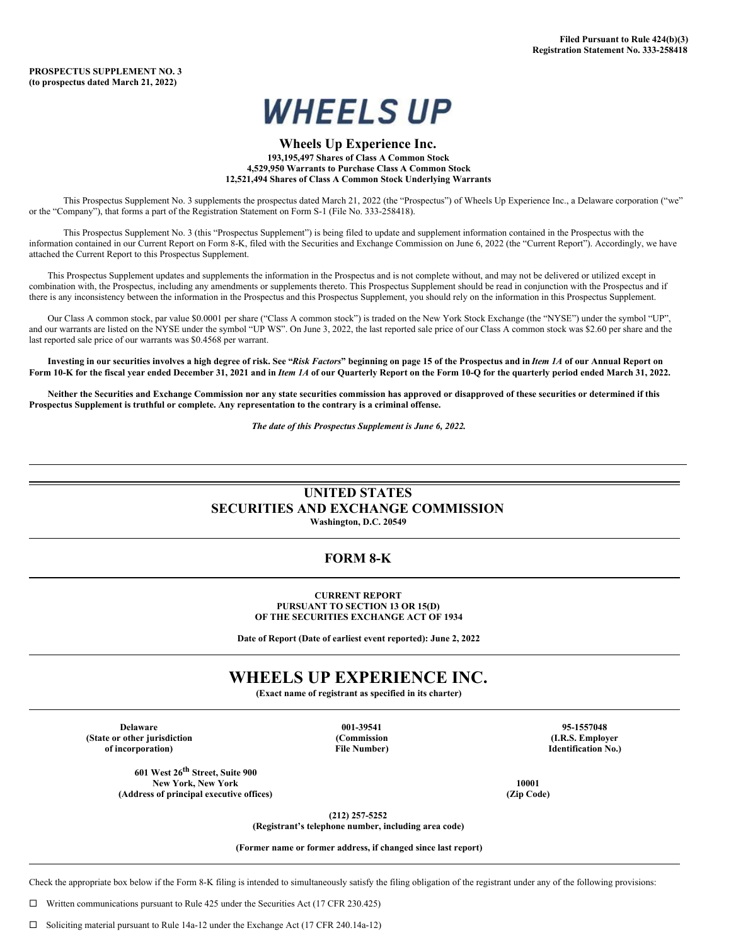

### **Wheels Up Experience Inc. 193,195,497 Shares of Class A Common Stock 4,529,950 Warrants to Purchase Class A Common Stock 12,521,494 Shares of Class A Common Stock Underlying Warrants**

This Prospectus Supplement No. 3 supplements the prospectus dated March 21, 2022 (the "Prospectus") of Wheels Up Experience Inc., a Delaware corporation ("we" or the "Company"), that forms a part of the Registration Statement on Form S-1 (File No. 333-258418).

This Prospectus Supplement No. 3 (this "Prospectus Supplement") is being filed to update and supplement information contained in the Prospectus with the information contained in our Current Report on Form 8-K, filed with the Securities and Exchange Commission on June 6, 2022 (the "Current Report"). Accordingly, we have attached the Current Report to this Prospectus Supplement.

This Prospectus Supplement updates and supplements the information in the Prospectus and is not complete without, and may not be delivered or utilized except in combination with, the Prospectus, including any amendments or supplements thereto. This Prospectus Supplement should be read in conjunction with the Prospectus and if there is any inconsistency between the information in the Prospectus and this Prospectus Supplement, you should rely on the information in this Prospectus Supplement.

Our Class A common stock, par value \$0.0001 per share ("Class A common stock") is traded on the New York Stock Exchange (the "NYSE") under the symbol "UP", and our warrants are listed on the NYSE under the symbol "UP WS". On June 3, 2022, the last reported sale price of our Class A common stock was \$2.60 per share and the last reported sale price of our warrants was \$0.4568 per warrant.

Investing in our securities involves a high degree of risk. See "Risk Factors" beginning on page 15 of the Prospectus and in Item 1A of our Annual Report on Form 10-K for the fiscal year ended December 31, 2021 and in Item 1A of our Quarterly Report on the Form 10-Q for the quarterly period ended March 31, 2022.

Neither the Securities and Exchange Commission nor any state securities commission has approved or disapproved of these securities or determined if this **Prospectus Supplement is truthful or complete. Any representation to the contrary is a criminal offense.**

*The date of this Prospectus Supplement is June 6, 2022.*

## **UNITED STATES SECURITIES AND EXCHANGE COMMISSION**

**Washington, D.C. 20549**

### **FORM 8-K**

**CURRENT REPORT PURSUANT TO SECTION 13 OR 15(D) OF THE SECURITIES EXCHANGE ACT OF 1934**

**Date of Report (Date of earliest event reported): June 2, 2022**

# **WHEELS UP EXPERIENCE INC.**

**(Exact name of registrant as specified in its charter)**

**Delaware 001-39541 95-1557048 (State or other jurisdiction (Commission (I.R.S. Employer of incorporation) File Number) Identification No.)**

**601 West 26 th Street, Suite 900 New York, New York 10001 (Address of principal executive offices) (Zip Code)**

**(212) 257-5252**

**(Registrant's telephone number, including area code)**

**(Former name or former address, if changed since last report)**

Check the appropriate box below if the Form 8-K filing is intended to simultaneously satisfy the filing obligation of the registrant under any of the following provisions:

 $\Box$  Written communications pursuant to Rule 425 under the Securities Act (17 CFR 230.425)

¨ Soliciting material pursuant to Rule 14a-12 under the Exchange Act (17 CFR 240.14a-12)